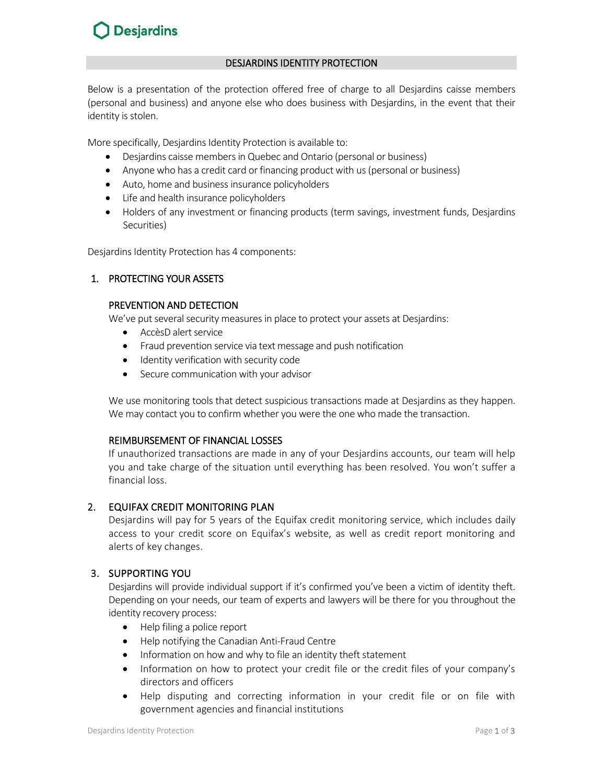# **Desjardins**

## DESJARDINS IDENTITY PROTECTION

Below is a presentation of the protection offered free of charge to all Desjardins caisse members (personal and business) and anyone else who does business with Desjardins, in the event that their identity is stolen.

More specifically, Desjardins Identity Protection is available to:

- Desjardins caisse members in Quebec and Ontario (personal or business)
- Anyone who has a credit card or financing product with us (personal or business)
- Auto, home and business insurance policyholders
- Life and health insurance policyholders
- Holders of any investment or financing products (term savings, investment funds, Desjardins Securities)

Desjardins Identity Protection has 4 components:

## 1. PROTECTING YOUR ASSETS

#### PREVENTION AND DETECTION

We've put several security measures in place to protect your assets at Desjardins:

- AccèsD alert service
- Fraud prevention service via text message and push notification
- Identity verification with security code
- Secure communication with your advisor

We use monitoring tools that detect suspicious transactions made at Desjardins as they happen. We may contact you to confirm whether you were the one who made the transaction.

## REIMBURSEMENT OF FINANCIAL LOSSES

If unauthorized transactions are made in any of your Desjardins accounts, our team will help you and take charge of the situation until everything has been resolved. You won't suffer a financial loss.

## 2. EQUIFAX CREDIT MONITORING PLAN

Desjardins will pay for 5 years of the Equifax credit monitoring service, which includes daily access to your credit score on Equifax's website, as well as credit report monitoring and alerts of key changes.

## 3. SUPPORTING YOU

Desjardins will provide individual support if it's confirmed you've been a victim of identity theft. Depending on your needs, our team of experts and lawyers will be there for you throughout the identity recovery process:

- Help filing a police report
- Help notifying the Canadian Anti-Fraud Centre
- Information on how and why to file an identity theft statement
- Information on how to protect your credit file or the credit files of your company's directors and officers
- Help disputing and correcting information in your credit file or on file with government agencies and financial institutions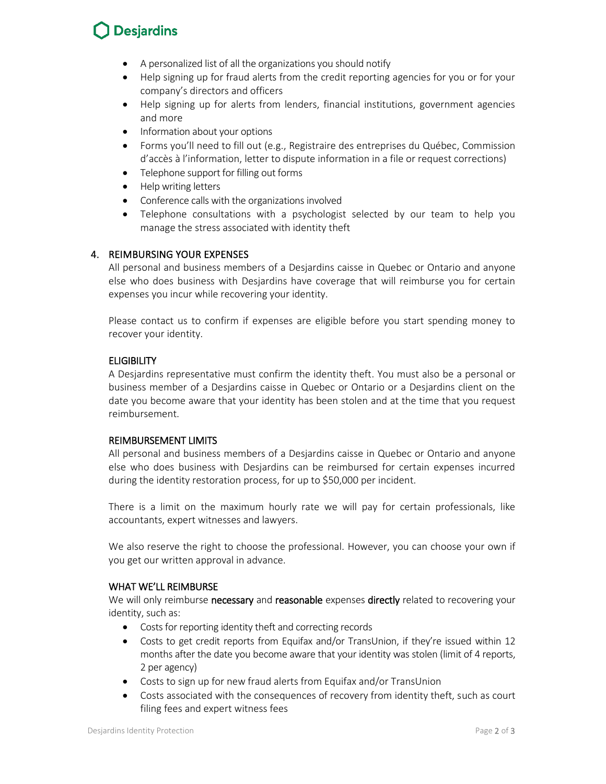# **Desjardins**

- A personalized list of all the organizations you should notify
- Help signing up for fraud alerts from the credit reporting agencies for you or for your company's directors and officers
- Help signing up for alerts from lenders, financial institutions, government agencies and more
- Information about your options
- Forms you'll need to fill out (e.g., Registraire des entreprises du Québec, Commission d'accès à l'information, letter to dispute information in a file or request corrections)
- Telephone support for filling out forms
- Help writing letters
- Conference calls with the organizations involved
- Telephone consultations with a psychologist selected by our team to help you manage the stress associated with identity theft

## 4. REIMBURSING YOUR EXPENSES

All personal and business members of a Desjardins caisse in Quebec or Ontario and anyone else who does business with Desjardins have coverage that will reimburse you for certain expenses you incur while recovering your identity.

Please contact us to confirm if expenses are eligible before you start spending money to recover your identity.

## **ELIGIBILITY**

A Desjardins representative must confirm the identity theft. You must also be a personal or business member of a Desjardins caisse in Quebec or Ontario or a Desjardins client on the date you become aware that your identity has been stolen and at the time that you request reimbursement.

## REIMBURSEMENT LIMITS

All personal and business members of a Desjardins caisse in Quebec or Ontario and anyone else who does business with Desjardins can be reimbursed for certain expenses incurred during the identity restoration process, for up to \$50,000 per incident.

There is a limit on the maximum hourly rate we will pay for certain professionals, like accountants, expert witnesses and lawyers.

We also reserve the right to choose the professional. However, you can choose your own if you get our written approval in advance.

## WHAT WE'LL REIMBURSE

We will only reimburse necessary and reasonable expenses directly related to recovering your identity, such as:

- Costs for reporting identity theft and correcting records
- Costs to get credit reports from Equifax and/or TransUnion, if they're issued within 12 months after the date you become aware that your identity was stolen (limit of 4 reports, 2 per agency)
- Costs to sign up for new fraud alerts from Equifax and/or TransUnion
- Costs associated with the consequences of recovery from identity theft, such as court filing fees and expert witness fees